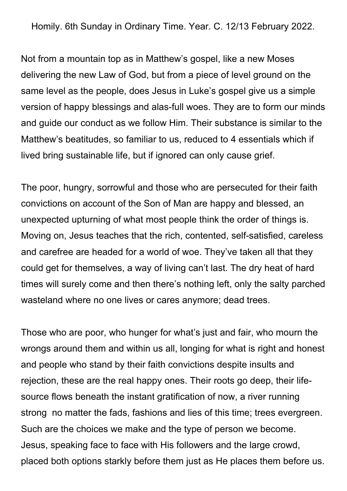Homily. 6th Sunday in Ordinary Time. Year. C. 12/13 February 2022.

Not from a mountain top as in Matthew's gospel, like a new Moses delivering the new Law of God, but from a piece of level ground on the same level as the people, does Jesus in Luke's gospel give us a simple version of happy blessings and alas-full woes. They are to form our minds and guide our conduct as we follow Him. Their substance is similar to the Matthew's beatitudes, so familiar to us, reduced to 4 essentials which if lived bring sustainable life, but if ignored can only cause grief.

The poor, hungry, sorrowful and those who are persecuted for their faith convictions on account of the Son of Man are happy and blessed, an unexpected upturning of what most people think the order of things is. Moving on, Jesus teaches that the rich, contented, self-satisfied, careless and carefree are headed for a world of woe. They've taken all that they could get for themselves, a way of living can't last. The dry heat of hard times will surely come and then there's nothing left, only the salty parched wasteland where no one lives or cares anymore; dead trees.

Those who are poor, who hunger for what's just and fair, who mourn the wrongs around them and within us all, longing for what is right and honest and people who stand by their faith convictions despite insults and rejection, these are the real happy ones. Their roots go deep, their lifesource flows beneath the instant gratification of now, a river running strong no matter the fads, fashions and lies of this time; trees evergreen. Such are the choices we make and the type of person we become. Jesus, speaking face to face with His followers and the large crowd, placed both options starkly before them just as He places them before us.